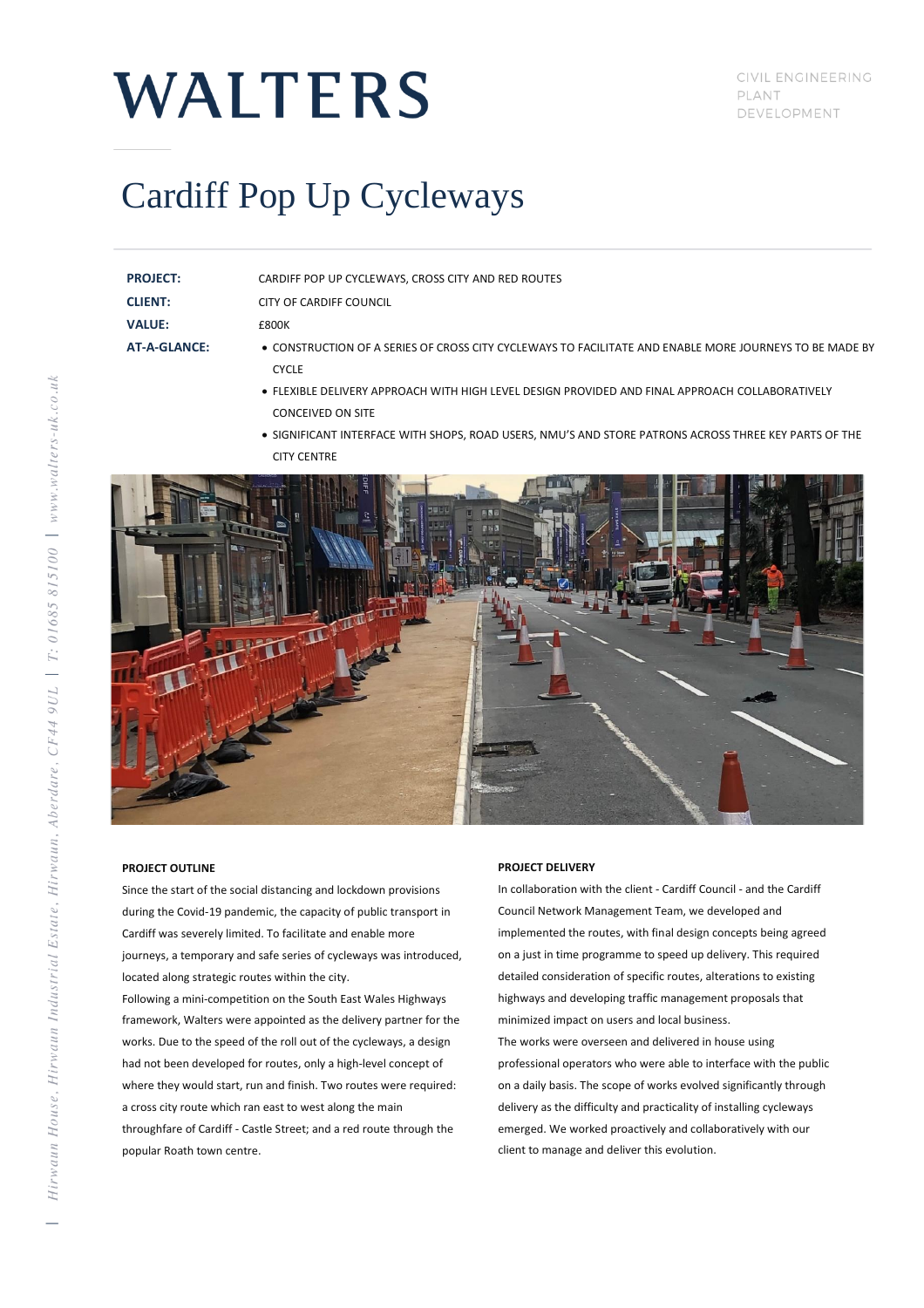# **WALTERS**

CIVIL ENGINEERING PLANT DEVELOPMENT

### Cardiff Pop Up Cycleways

**PROJECT:** CARDIFF POP UP CYCLEWAYS, CROSS CITY AND RED ROUTES

**CLIENT:** CITY OF CARDIFF COUNCIL

**VALUE:** £800K

- **AT-A-GLANCE:** CONSTRUCTION OF A SERIES OF CROSS CITY CYCLEWAYS TO FACILITATE AND ENABLE MORE JOURNEYS TO BE MADE BY CYCLE<sub></sub>
	- FLEXIBLE DELIVERY APPROACH WITH HIGH LEVEL DESIGN PROVIDED AND FINAL APPROACH COLLABORATIVELY CONCEIVED ON SITE
	- SIGNIFICANT INTERFACE WITH SHOPS, ROAD USERS, NMU'S AND STORE PATRONS ACROSS THREE KEY PARTS OF THE CITY CENTRE



### **PROJECT OUTLINE**

Since the start of the social distancing and lockdown provisions during the Covid-19 pandemic, the capacity of public transport in Cardiff was severely limited. To facilitate and enable more journeys, a temporary and safe series of cycleways was introduced, located along strategic routes within the city.

Following a mini-competition on the South East Wales Highways framework, Walters were appointed as the delivery partner for the works. Due to the speed of the roll out of the cycleways, a design had not been developed for routes, only a high-level concept of where they would start, run and finish. Two routes were required: a cross city route which ran east to west along the main throughfare of Cardiff - Castle Street; and a red route through the popular Roath town centre.

### **PROJECT DELIVERY**

In collaboration with the client - Cardiff Council - and the Cardiff Council Network Management Team, we developed and implemented the routes, with final design concepts being agreed on a just in time programme to speed up delivery. This required detailed consideration of specific routes, alterations to existing highways and developing traffic management proposals that minimized impact on users and local business.

The works were overseen and delivered in house using professional operators who were able to interface with the public on a daily basis. The scope of works evolved significantly through delivery as the difficulty and practicality of installing cycleways emerged. We worked proactively and collaboratively with our client to manage and deliver this evolution.